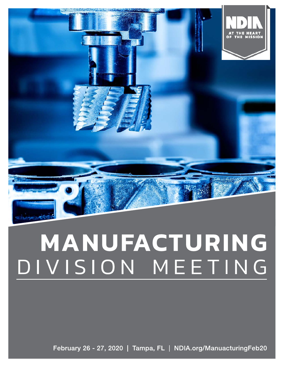

# MANUFACTURING DIVISION MEETING

February 26 - 27, 2020 | Tampa, FL | NDIA.org/ManuacturingFeb20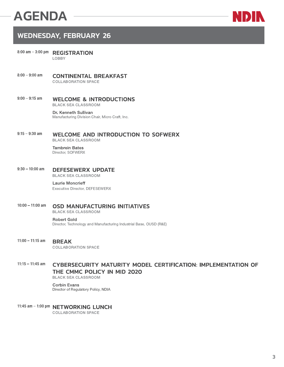# **AGENDA**



# **WEDNESDAY, FEBRUARY 26**

- 8:00 am 3:00 pm REGISTRATION LOBBY
- $8:00 9:00$  am **CONTINENTAL BREAKFAST COLLABORATION SPACE**
- $9:00 9:15$  am **WELCOME & INTRODUCTIONS BLACK SEA CLASSROOM**

Dr. Kenneth Sullivan Manufacturing Division Chair, Micro Craft, Inc.

#### $9:15 - 9:30$  am **WELCOME AND INTRODUCTION TO SOFWERX BLACK SEA CLASSROOM**

**Tambrein Bates** Director, SOFWERX

 $9:30 - 10:00$  am **DEFESEWERX UPDATE** 

**BLACK SEA CLASSROOM** 

# **Laurie Moncrieff**

Executive Director, DEFESEWERX

 $10:00 - 11:00$  am **OSD MANUFACTURING INITIATIVES BLACK SEA CLASSROOM** 

> **Robert Gold** Director, Technology and Manufacturing Industrial Base, OUSD (R&E)

 $11:00 - 11:15$  am **BREAK COLLABORATION SPACE** 

### $11:15 - 11:45$  am **CYBERSECURITY MATURITY MODEL CERTIFICATION: IMPLEMENTATION OF** THE CMMC POLICY IN MID 2020

**BLACK SEA CLASSROOM** 

**Corbin Evans** Director of Regulatory Policy, NDIA

11:45 am - 1:00 pm NETWORKING LUNCH **COLLABORATION SPACE**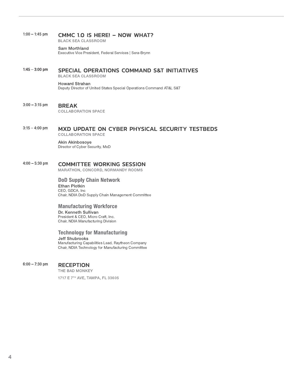#### $1:00 - 1:45$  pm **CMMC 1.0 IS HERE! - NOW WHAT?**

**BLACK SEA CLASSROOM** 

#### Sam Morthland

Executive Vice President, Federal Services | Sera-Brynn

#### $1:45 - 3:00$  pm **SPECIAL OPERATIONS COMMAND S&T INITIATIVES**

**BLACK SEA CLASSROOM** 

# **Howard Strahan**

Deputy Director of United States Special Operations Command AT&L S&T

#### $3:00 - 3:15$  pm **BREAK**

**COLLABORATION SPACE** 

#### $3:15 - 4:00$  pm MXD UPDATE ON CYBER PHYSICAL SECURITY TESTBEDS **COLLABORATION SPACE**

Akin Akinbosoye Director of Cyber Security, MxD

#### $4:00 - 5:30$  pm **COMMITTEE WORKING SESSION**

MARATHON, CONCORD, NORMANDY ROOMS

## **DoD Supply Chain Network Ethan Plotkin** CEO, GDCA, Inc Chair, NDIA DoD Supply Chain Management Committee

# **Manufacturing Workforce**

Dr. Kenneth Sullivan President & CEO, Micro Craft, Inc. Chair, NDIA Manufacturing Division

# **Technology for Manufacturing**

**Jeff Shubrooks** 

Manufacturing Capabilities Lead, Raytheon Company Chair, NDIA Technology for Manufacturing Committee

#### $6:00 - 7:30$  pm **RECEPTION**

THE BAD MONKEY

1717 E 7TH AVE, TAMPA, FL 33605